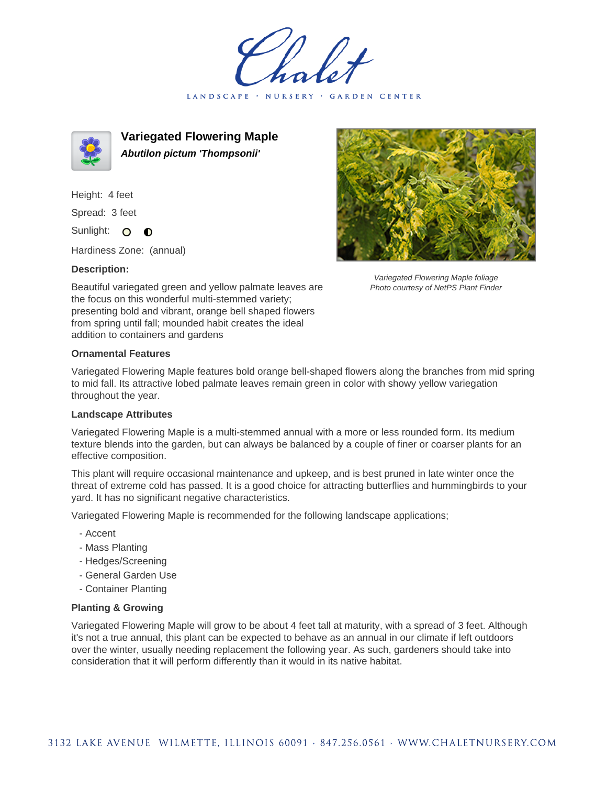LANDSCAPE · NURSERY · GARDEN CENTER



**Variegated Flowering Maple Abutilon pictum 'Thompsonii'**

Height: 4 feet Spread: 3 feet Sunlight: O  $\bullet$ 

Hardiness Zone: (annual)

## **Description:**



## **Ornamental Features**

Variegated Flowering Maple features bold orange bell-shaped flowers along the branches from mid spring to mid fall. Its attractive lobed palmate leaves remain green in color with showy yellow variegation throughout the year.

## **Landscape Attributes**

Variegated Flowering Maple is a multi-stemmed annual with a more or less rounded form. Its medium texture blends into the garden, but can always be balanced by a couple of finer or coarser plants for an effective composition.

This plant will require occasional maintenance and upkeep, and is best pruned in late winter once the threat of extreme cold has passed. It is a good choice for attracting butterflies and hummingbirds to your yard. It has no significant negative characteristics.

Variegated Flowering Maple is recommended for the following landscape applications;

- Accent
- Mass Planting
- Hedges/Screening
- General Garden Use
- Container Planting

## **Planting & Growing**

Variegated Flowering Maple will grow to be about 4 feet tall at maturity, with a spread of 3 feet. Although it's not a true annual, this plant can be expected to behave as an annual in our climate if left outdoors over the winter, usually needing replacement the following year. As such, gardeners should take into consideration that it will perform differently than it would in its native habitat.



Variegated Flowering Maple foliage Photo courtesy of NetPS Plant Finder